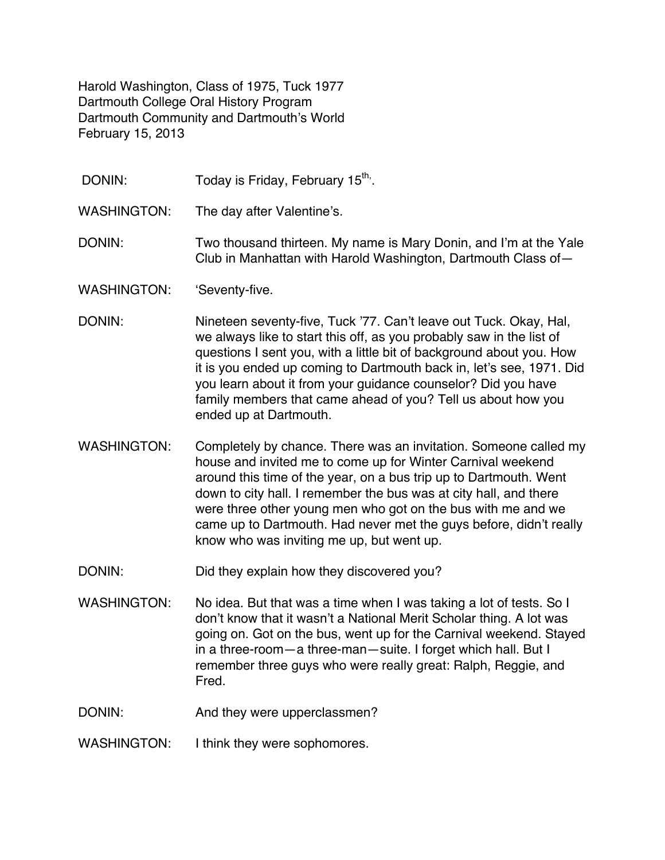Harold Washington, Class of 1975, Tuck 1977 Dartmouth College Oral History Program Dartmouth Community and Dartmouth's World February 15, 2013

DONIN: Today is Friday, February 15<sup>th,</sup>.

WASHINGTON: The day after Valentine's.

- DONIN: Two thousand thirteen. My name is Mary Donin, and I'm at the Yale Club in Manhattan with Harold Washington, Dartmouth Class of—
- WASHINGTON: 'Seventy-five.
- DONIN: Nineteen seventy-five, Tuck '77. Can't leave out Tuck. Okay, Hal, we always like to start this off, as you probably saw in the list of questions I sent you, with a little bit of background about you. How it is you ended up coming to Dartmouth back in, let's see, 1971. Did you learn about it from your guidance counselor? Did you have family members that came ahead of you? Tell us about how you ended up at Dartmouth.
- WASHINGTON: Completely by chance. There was an invitation. Someone called my house and invited me to come up for Winter Carnival weekend around this time of the year, on a bus trip up to Dartmouth. Went down to city hall. I remember the bus was at city hall, and there were three other young men who got on the bus with me and we came up to Dartmouth. Had never met the guys before, didn't really know who was inviting me up, but went up.
- DONIN: Did they explain how they discovered you?
- WASHINGTON: No idea. But that was a time when I was taking a lot of tests. So I don't know that it wasn't a National Merit Scholar thing. A lot was going on. Got on the bus, went up for the Carnival weekend. Stayed in a three-room—a three-man—suite. I forget which hall. But I remember three guys who were really great: Ralph, Reggie, and Fred.
- DONIN: And they were upperclassmen?
- WASHINGTON: I think they were sophomores.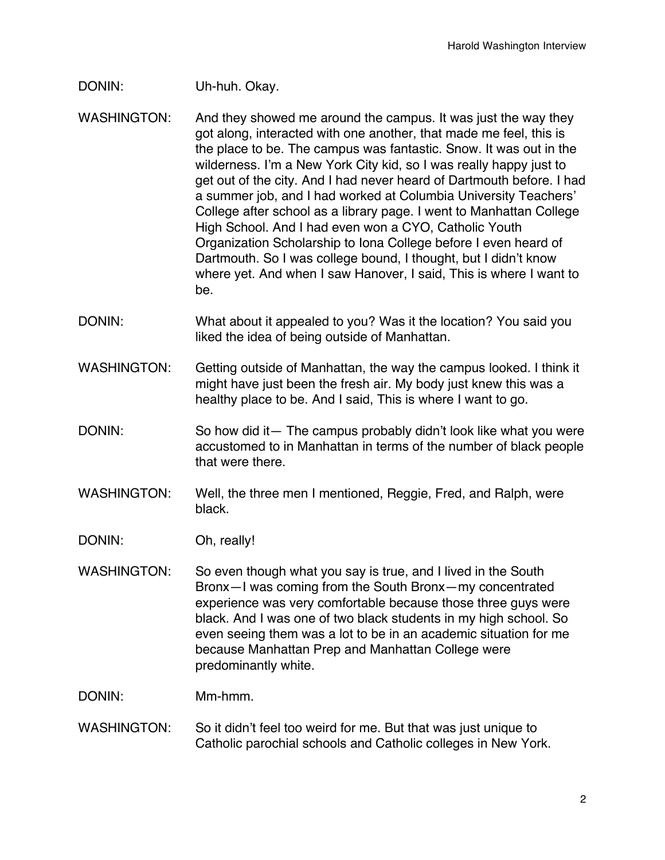## DONIN: Uh-huh. Okay.

- WASHINGTON: And they showed me around the campus. It was just the way they got along, interacted with one another, that made me feel, this is the place to be. The campus was fantastic. Snow. It was out in the wilderness. I'm a New York City kid, so I was really happy just to get out of the city. And I had never heard of Dartmouth before. I had a summer job, and I had worked at Columbia University Teachers' College after school as a library page. I went to Manhattan College High School. And I had even won a CYO, Catholic Youth Organization Scholarship to Iona College before I even heard of Dartmouth. So I was college bound, I thought, but I didn't know where yet. And when I saw Hanover, I said, This is where I want to be.
- DONIN: What about it appealed to you? Was it the location? You said you liked the idea of being outside of Manhattan.
- WASHINGTON: Getting outside of Manhattan, the way the campus looked. I think it might have just been the fresh air. My body just knew this was a healthy place to be. And I said, This is where I want to go.
- DONIN: So how did it— The campus probably didn't look like what you were accustomed to in Manhattan in terms of the number of black people that were there.
- WASHINGTON: Well, the three men I mentioned, Reggie, Fred, and Ralph, were black.
- DONIN: Oh, really!
- WASHINGTON: So even though what you say is true, and I lived in the South Bronx—I was coming from the South Bronx—my concentrated experience was very comfortable because those three guys were black. And I was one of two black students in my high school. So even seeing them was a lot to be in an academic situation for me because Manhattan Prep and Manhattan College were predominantly white.
- DONIN: Mm-hmm.
- WASHINGTON: So it didn't feel too weird for me. But that was just unique to Catholic parochial schools and Catholic colleges in New York.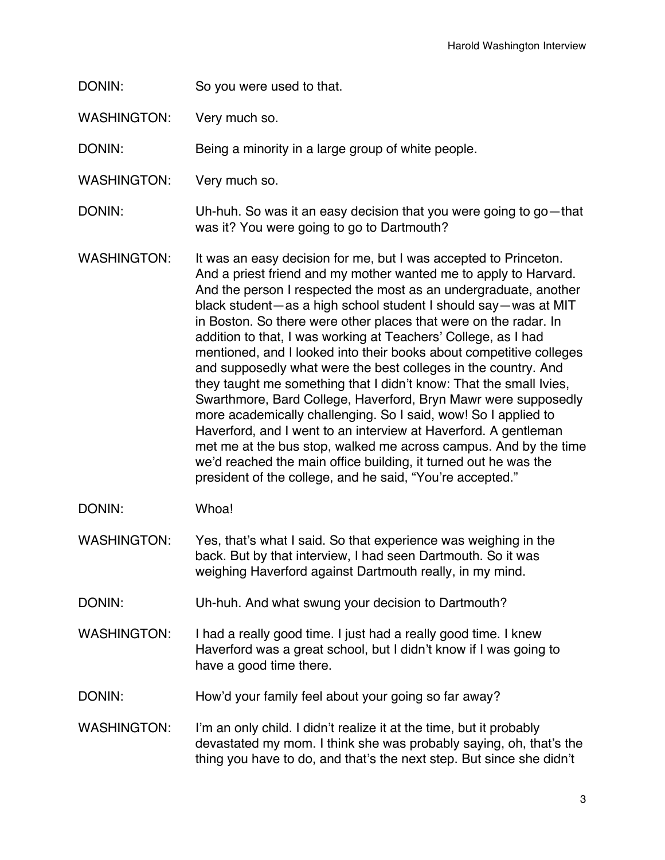## DONIN: So you were used to that.

WASHINGTON: Very much so.

DONIN: Being a minority in a large group of white people.

WASHINGTON: Very much so.

DONIN: Uh-huh. So was it an easy decision that you were going to go—that was it? You were going to go to Dartmouth?

WASHINGTON: It was an easy decision for me, but I was accepted to Princeton. And a priest friend and my mother wanted me to apply to Harvard. And the person I respected the most as an undergraduate, another black student—as a high school student I should say—was at MIT in Boston. So there were other places that were on the radar. In addition to that, I was working at Teachers' College, as I had mentioned, and I looked into their books about competitive colleges and supposedly what were the best colleges in the country. And they taught me something that I didn't know: That the small Ivies, Swarthmore, Bard College, Haverford, Bryn Mawr were supposedly more academically challenging. So I said, wow! So I applied to Haverford, and I went to an interview at Haverford. A gentleman met me at the bus stop, walked me across campus. And by the time we'd reached the main office building, it turned out he was the president of the college, and he said, "You're accepted."

DONIN: Whoa!

WASHINGTON: Yes, that's what I said. So that experience was weighing in the back. But by that interview, I had seen Dartmouth. So it was weighing Haverford against Dartmouth really, in my mind.

- DONIN: Uh-huh. And what swung your decision to Dartmouth?
- WASHINGTON: I had a really good time. I just had a really good time. I knew Haverford was a great school, but I didn't know if I was going to have a good time there.
- DONIN: How'd your family feel about your going so far away?

WASHINGTON: I'm an only child. I didn't realize it at the time, but it probably devastated my mom. I think she was probably saying, oh, that's the thing you have to do, and that's the next step. But since she didn't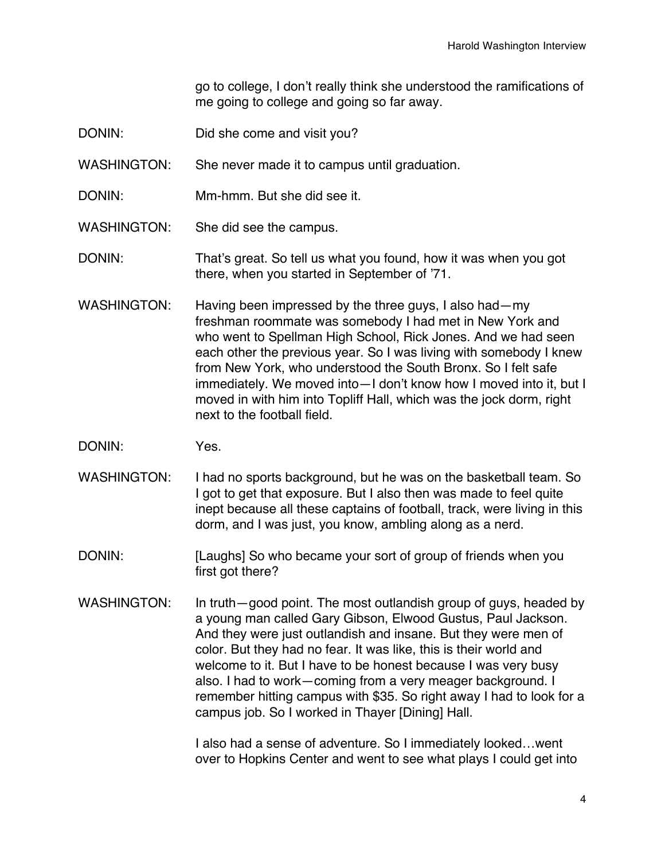go to college, I don't really think she understood the ramifications of me going to college and going so far away.

- DONIN: Did she come and visit you?
- WASHINGTON: She never made it to campus until graduation.
- DONIN: Mm-hmm. But she did see it.
- WASHINGTON: She did see the campus.
- DONIN: That's great. So tell us what you found, how it was when you got there, when you started in September of '71.
- WASHINGTON: Having been impressed by the three guys, I also had—my freshman roommate was somebody I had met in New York and who went to Spellman High School, Rick Jones. And we had seen each other the previous year. So I was living with somebody I knew from New York, who understood the South Bronx. So I felt safe immediately. We moved into—I don't know how I moved into it, but I moved in with him into Topliff Hall, which was the jock dorm, right next to the football field.
- DONIN: Yes.
- WASHINGTON: I had no sports background, but he was on the basketball team. So I got to get that exposure. But I also then was made to feel quite inept because all these captains of football, track, were living in this dorm, and I was just, you know, ambling along as a nerd.
- DONIN: [Laughs] So who became your sort of group of friends when you first got there?
- WASHINGTON: In truth—good point. The most outlandish group of guys, headed by a young man called Gary Gibson, Elwood Gustus, Paul Jackson. And they were just outlandish and insane. But they were men of color. But they had no fear. It was like, this is their world and welcome to it. But I have to be honest because I was very busy also. I had to work—coming from a very meager background. I remember hitting campus with \$35. So right away I had to look for a campus job. So I worked in Thayer [Dining] Hall.

I also had a sense of adventure. So I immediately looked…went over to Hopkins Center and went to see what plays I could get into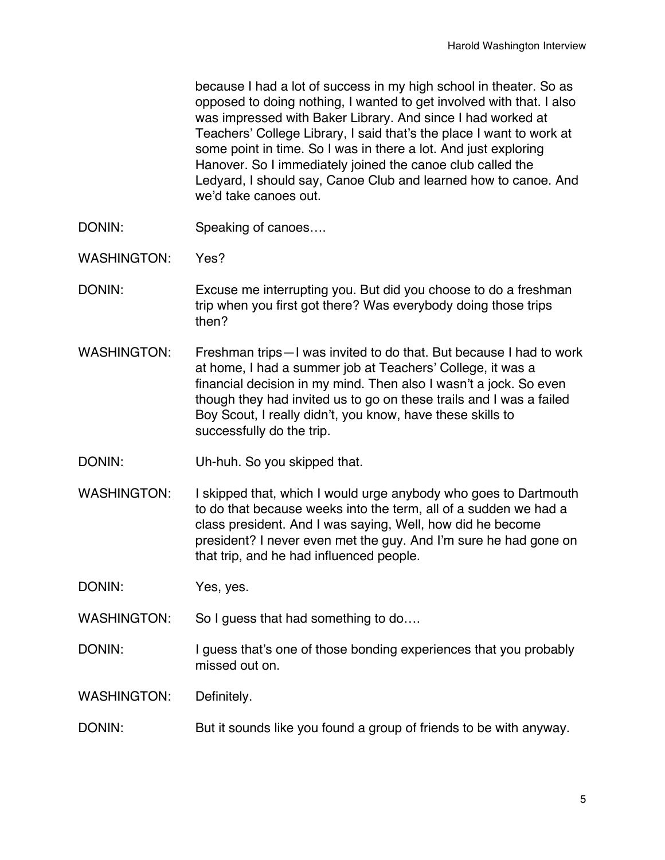because I had a lot of success in my high school in theater. So as opposed to doing nothing, I wanted to get involved with that. I also was impressed with Baker Library. And since I had worked at Teachers' College Library, I said that's the place I want to work at some point in time. So I was in there a lot. And just exploring Hanover. So I immediately joined the canoe club called the Ledyard, I should say, Canoe Club and learned how to canoe. And we'd take canoes out.

- DONIN: Speaking of canoes....
- WASHINGTON: Yes?
- DONIN: Excuse me interrupting you. But did you choose to do a freshman trip when you first got there? Was everybody doing those trips then?
- WASHINGTON: Freshman trips—I was invited to do that. But because I had to work at home, I had a summer job at Teachers' College, it was a financial decision in my mind. Then also I wasn't a jock. So even though they had invited us to go on these trails and I was a failed Boy Scout, I really didn't, you know, have these skills to successfully do the trip.
- DONIN: Uh-huh. So you skipped that.
- WASHINGTON: I skipped that, which I would urge anybody who goes to Dartmouth to do that because weeks into the term, all of a sudden we had a class president. And I was saying, Well, how did he become president? I never even met the guy. And I'm sure he had gone on that trip, and he had influenced people.

DONIN: Yes, yes.

- WASHINGTON: So I guess that had something to do....
- DONIN: I guess that's one of those bonding experiences that you probably missed out on.

WASHINGTON: Definitely.

DONIN: But it sounds like you found a group of friends to be with anyway.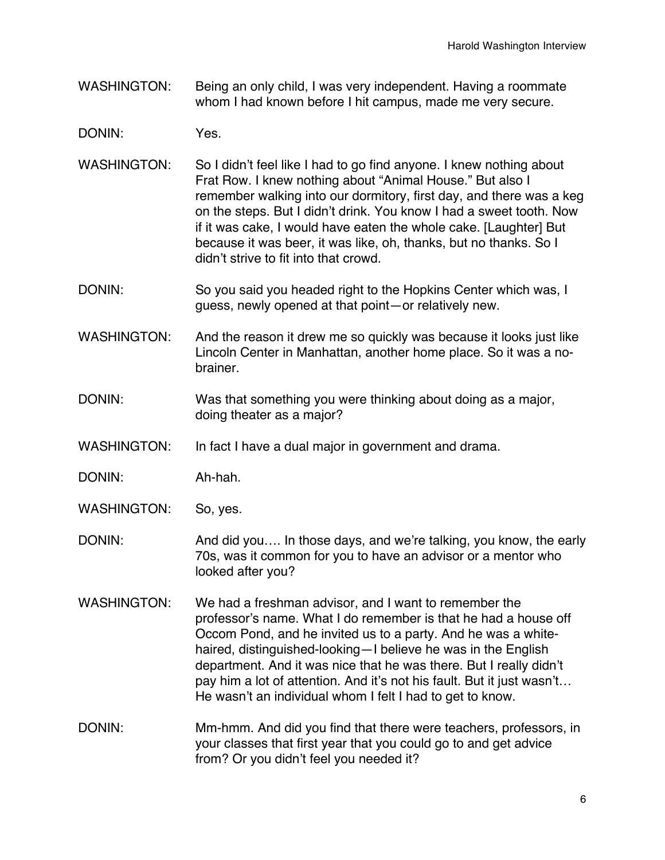- WASHINGTON: Being an only child, I was very independent. Having a roommate whom I had known before I hit campus, made me very secure.
- DONIN: Yes.
- WASHINGTON: So I didn't feel like I had to go find anyone. I knew nothing about Frat Row. I knew nothing about "Animal House." But also I remember walking into our dormitory, first day, and there was a keg on the steps. But I didn't drink. You know I had a sweet tooth. Now if it was cake, I would have eaten the whole cake. [Laughter] But because it was beer, it was like, oh, thanks, but no thanks. So I didn't strive to fit into that crowd.
- DONIN: So you said you headed right to the Hopkins Center which was, I guess, newly opened at that point—or relatively new.
- WASHINGTON: And the reason it drew me so quickly was because it looks just like Lincoln Center in Manhattan, another home place. So it was a nobrainer.
- DONIN: Was that something you were thinking about doing as a major, doing theater as a major?
- WASHINGTON: In fact I have a dual major in government and drama.
- DONIN: Ah-hah.
- WASHINGTON: So, yes.
- DONIN: And did you.... In those days, and we're talking, you know, the early 70s, was it common for you to have an advisor or a mentor who looked after you?
- WASHINGTON: We had a freshman advisor, and I want to remember the professor's name. What I do remember is that he had a house off Occom Pond, and he invited us to a party. And he was a whitehaired, distinguished-looking—I believe he was in the English department. And it was nice that he was there. But I really didn't pay him a lot of attention. And it's not his fault. But it just wasn't… He wasn't an individual whom I felt I had to get to know.
- DONIN: Mm-hmm. And did you find that there were teachers, professors, in your classes that first year that you could go to and get advice from? Or you didn't feel you needed it?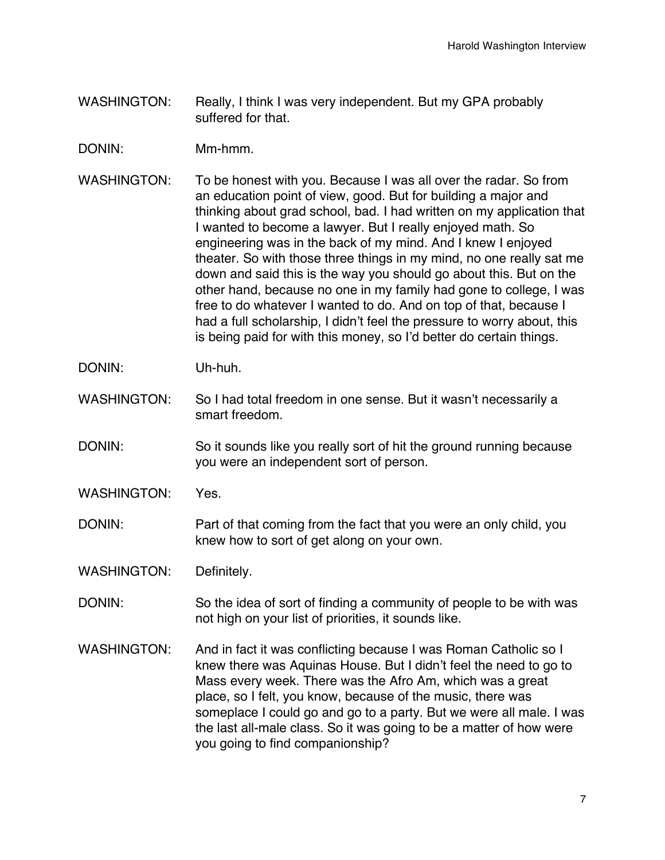- WASHINGTON: Really, I think I was very independent. But my GPA probably suffered for that.
- DONIN: Mm-hmm.
- WASHINGTON: To be honest with you. Because I was all over the radar. So from an education point of view, good. But for building a major and thinking about grad school, bad. I had written on my application that I wanted to become a lawyer. But I really enjoyed math. So engineering was in the back of my mind. And I knew I enjoyed theater. So with those three things in my mind, no one really sat me down and said this is the way you should go about this. But on the other hand, because no one in my family had gone to college, I was free to do whatever I wanted to do. And on top of that, because I had a full scholarship, I didn't feel the pressure to worry about, this is being paid for with this money, so I'd better do certain things.
- DONIN: Uh-huh.
- WASHINGTON: So I had total freedom in one sense. But it wasn't necessarily a smart freedom.
- DONIN: So it sounds like you really sort of hit the ground running because you were an independent sort of person.
- WASHINGTON: Yes.
- DONIN: Part of that coming from the fact that you were an only child, you knew how to sort of get along on your own.

WASHINGTON: Definitely.

- DONIN: So the idea of sort of finding a community of people to be with was not high on your list of priorities, it sounds like.
- WASHINGTON: And in fact it was conflicting because I was Roman Catholic so I knew there was Aquinas House. But I didn't feel the need to go to Mass every week. There was the Afro Am, which was a great place, so I felt, you know, because of the music, there was someplace I could go and go to a party. But we were all male. I was the last all-male class. So it was going to be a matter of how were you going to find companionship?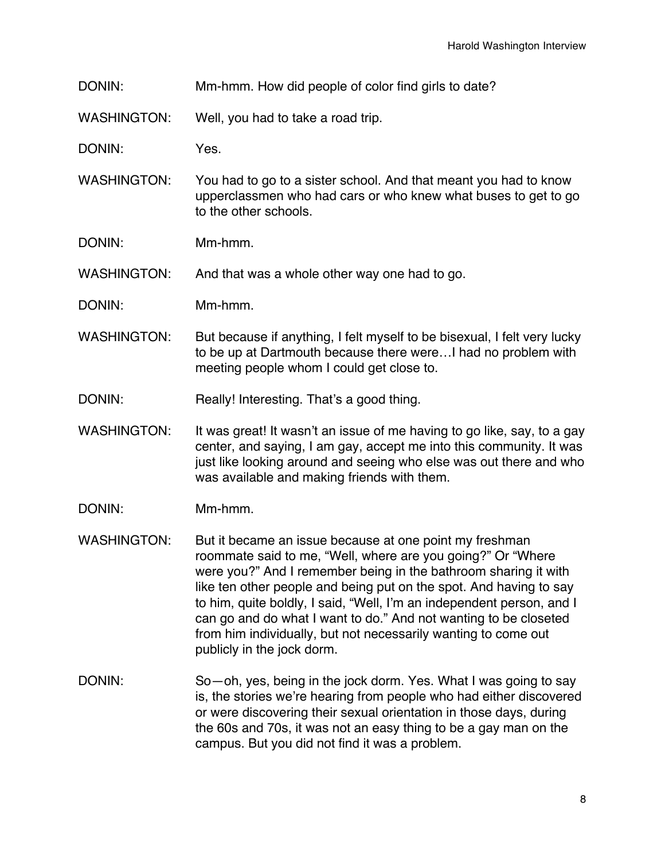DONIN: Mm-hmm. How did people of color find girls to date?

WASHINGTON: Well, you had to take a road trip.

DONIN: Yes.

WASHINGTON: You had to go to a sister school. And that meant you had to know upperclassmen who had cars or who knew what buses to get to go to the other schools.

DONIN: Mm-hmm.

WASHINGTON: And that was a whole other way one had to go.

- DONIN: Mm-hmm.
- WASHINGTON: But because if anything, I felt myself to be bisexual, I felt very lucky to be up at Dartmouth because there were…I had no problem with meeting people whom I could get close to.
- DONIN: Really! Interesting. That's a good thing.
- WASHINGTON: It was great! It wasn't an issue of me having to go like, say, to a gay center, and saying, I am gay, accept me into this community. It was just like looking around and seeing who else was out there and who was available and making friends with them.
- DONIN: Mm-hmm.
- WASHINGTON: But it became an issue because at one point my freshman roommate said to me, "Well, where are you going?" Or "Where were you?" And I remember being in the bathroom sharing it with like ten other people and being put on the spot. And having to say to him, quite boldly, I said, "Well, I'm an independent person, and I can go and do what I want to do." And not wanting to be closeted from him individually, but not necessarily wanting to come out publicly in the jock dorm.
- DONIN: So—oh, yes, being in the jock dorm. Yes. What I was going to say is, the stories we're hearing from people who had either discovered or were discovering their sexual orientation in those days, during the 60s and 70s, it was not an easy thing to be a gay man on the campus. But you did not find it was a problem.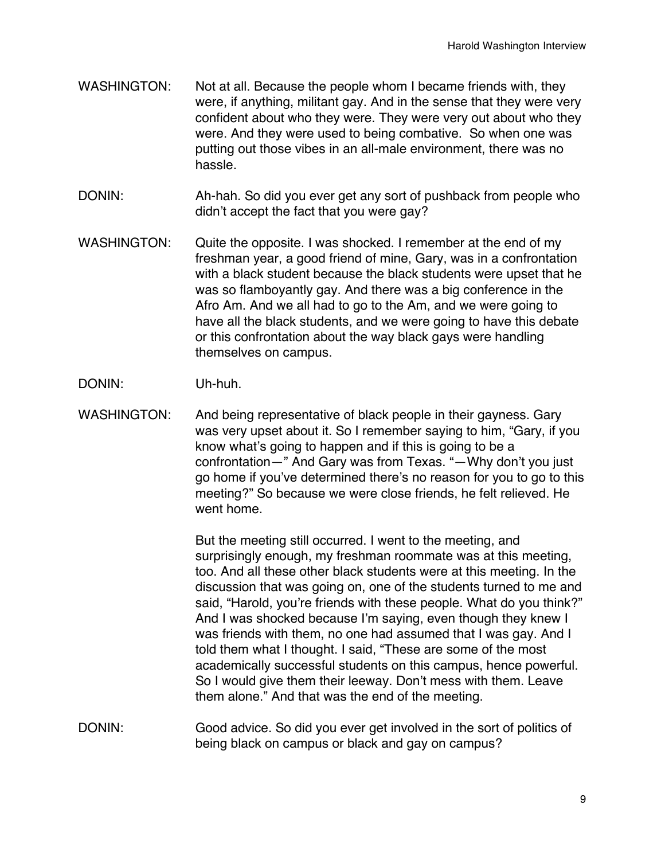- WASHINGTON: Not at all. Because the people whom I became friends with, they were, if anything, militant gay. And in the sense that they were very confident about who they were. They were very out about who they were. And they were used to being combative. So when one was putting out those vibes in an all-male environment, there was no hassle.
- DONIN: Ah-hah. So did you ever get any sort of pushback from people who didn't accept the fact that you were gay?
- WASHINGTON: Quite the opposite. I was shocked. I remember at the end of my freshman year, a good friend of mine, Gary, was in a confrontation with a black student because the black students were upset that he was so flamboyantly gay. And there was a big conference in the Afro Am. And we all had to go to the Am, and we were going to have all the black students, and we were going to have this debate or this confrontation about the way black gays were handling themselves on campus.
- DONIN: Uh-huh.
- WASHINGTON: And being representative of black people in their gayness. Gary was very upset about it. So I remember saying to him, "Gary, if you know what's going to happen and if this is going to be a confrontation—" And Gary was from Texas. "—Why don't you just go home if you've determined there's no reason for you to go to this meeting?" So because we were close friends, he felt relieved. He went home.

But the meeting still occurred. I went to the meeting, and surprisingly enough, my freshman roommate was at this meeting, too. And all these other black students were at this meeting. In the discussion that was going on, one of the students turned to me and said, "Harold, you're friends with these people. What do you think?" And I was shocked because I'm saying, even though they knew I was friends with them, no one had assumed that I was gay. And I told them what I thought. I said, "These are some of the most academically successful students on this campus, hence powerful. So I would give them their leeway. Don't mess with them. Leave them alone." And that was the end of the meeting.

DONIN: Good advice. So did you ever get involved in the sort of politics of being black on campus or black and gay on campus?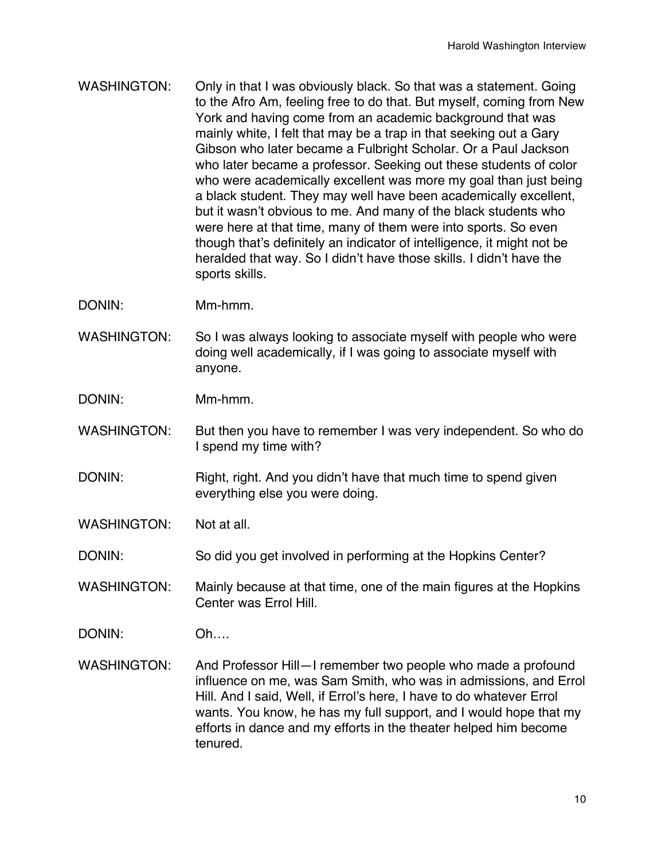WASHINGTON: Only in that I was obviously black. So that was a statement. Going to the Afro Am, feeling free to do that. But myself, coming from New York and having come from an academic background that was mainly white, I felt that may be a trap in that seeking out a Gary Gibson who later became a Fulbright Scholar. Or a Paul Jackson who later became a professor. Seeking out these students of color who were academically excellent was more my goal than just being a black student. They may well have been academically excellent, but it wasn't obvious to me. And many of the black students who were here at that time, many of them were into sports. So even though that's definitely an indicator of intelligence, it might not be heralded that way. So I didn't have those skills. I didn't have the sports skills.

DONIN: Mm-hmm.

WASHINGTON: So I was always looking to associate myself with people who were doing well academically, if I was going to associate myself with anyone.

DONIN: Mm-hmm.

- WASHINGTON: But then you have to remember I was very independent. So who do I spend my time with?
- DONIN: Right, right. And you didn't have that much time to spend given everything else you were doing.

WASHINGTON: Not at all.

DONIN: So did you get involved in performing at the Hopkins Center?

WASHINGTON: Mainly because at that time, one of the main figures at the Hopkins Center was Errol Hill.

DONIN: Oh….

WASHINGTON: And Professor Hill-I remember two people who made a profound influence on me, was Sam Smith, who was in admissions, and Errol Hill. And I said, Well, if Errol's here, I have to do whatever Errol wants. You know, he has my full support, and I would hope that my efforts in dance and my efforts in the theater helped him become tenured.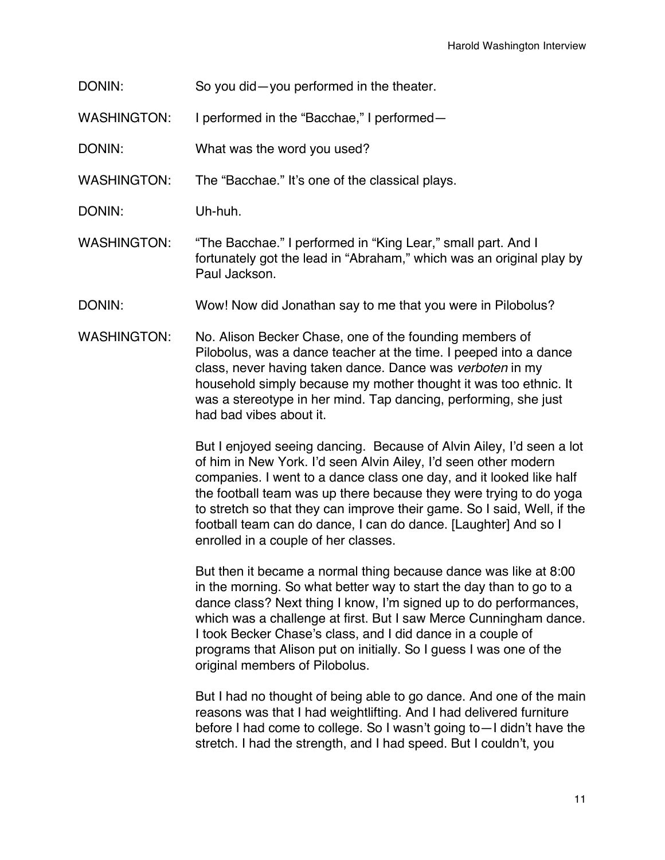- DONIN: So you did—you performed in the theater.
- WASHINGTON: I performed in the "Bacchae," I performed—
- DONIN: What was the word you used?
- WASHINGTON: The "Bacchae." It's one of the classical plays.
- DONIN: Uh-huh.
- WASHINGTON: "The Bacchae." I performed in "King Lear," small part. And I fortunately got the lead in "Abraham," which was an original play by Paul Jackson.
- DONIN: Wow! Now did Jonathan say to me that you were in Pilobolus?
- WASHINGTON: No. Alison Becker Chase, one of the founding members of Pilobolus, was a dance teacher at the time. I peeped into a dance class, never having taken dance. Dance was *verboten* in my household simply because my mother thought it was too ethnic. It was a stereotype in her mind. Tap dancing, performing, she just had bad vibes about it.

But I enjoyed seeing dancing. Because of Alvin Ailey, I'd seen a lot of him in New York. I'd seen Alvin Ailey, I'd seen other modern companies. I went to a dance class one day, and it looked like half the football team was up there because they were trying to do yoga to stretch so that they can improve their game. So I said, Well, if the football team can do dance, I can do dance. [Laughter] And so I enrolled in a couple of her classes.

But then it became a normal thing because dance was like at 8:00 in the morning. So what better way to start the day than to go to a dance class? Next thing I know, I'm signed up to do performances, which was a challenge at first. But I saw Merce Cunningham dance. I took Becker Chase's class, and I did dance in a couple of programs that Alison put on initially. So I guess I was one of the original members of Pilobolus.

But I had no thought of being able to go dance. And one of the main reasons was that I had weightlifting. And I had delivered furniture before I had come to college. So I wasn't going to—I didn't have the stretch. I had the strength, and I had speed. But I couldn't, you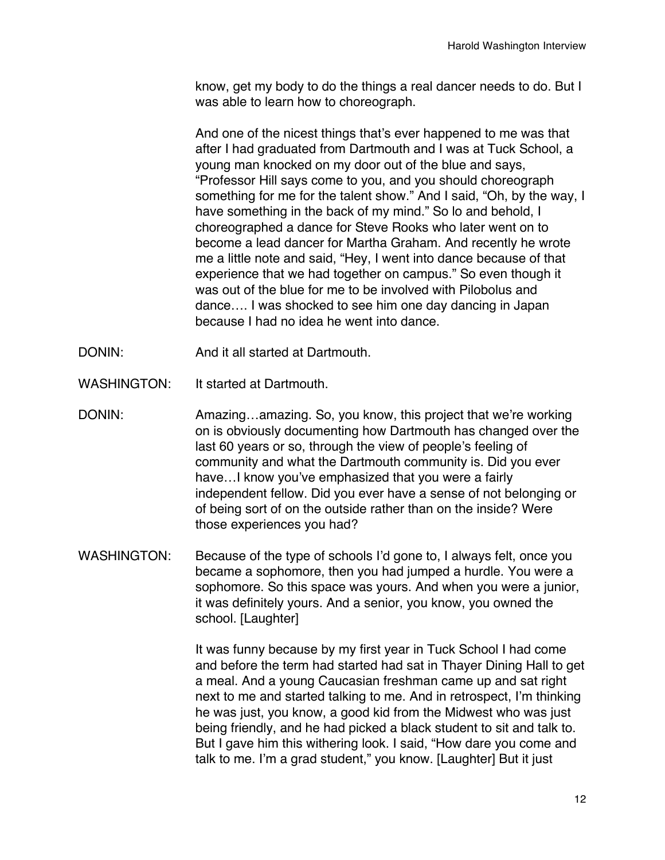know, get my body to do the things a real dancer needs to do. But I was able to learn how to choreograph.

And one of the nicest things that's ever happened to me was that after I had graduated from Dartmouth and I was at Tuck School, a young man knocked on my door out of the blue and says, "Professor Hill says come to you, and you should choreograph something for me for the talent show." And I said, "Oh, by the way, I have something in the back of my mind." So lo and behold, I choreographed a dance for Steve Rooks who later went on to become a lead dancer for Martha Graham. And recently he wrote me a little note and said, "Hey, I went into dance because of that experience that we had together on campus." So even though it was out of the blue for me to be involved with Pilobolus and dance…. I was shocked to see him one day dancing in Japan because I had no idea he went into dance.

- DONIN: And it all started at Dartmouth.
- WASHINGTON: It started at Dartmouth.
- DONIN: Amazing…amazing. So, you know, this project that we're working on is obviously documenting how Dartmouth has changed over the last 60 years or so, through the view of people's feeling of community and what the Dartmouth community is. Did you ever have…I know you've emphasized that you were a fairly independent fellow. Did you ever have a sense of not belonging or of being sort of on the outside rather than on the inside? Were those experiences you had?
- WASHINGTON: Because of the type of schools I'd gone to, I always felt, once you became a sophomore, then you had jumped a hurdle. You were a sophomore. So this space was yours. And when you were a junior, it was definitely yours. And a senior, you know, you owned the school. [Laughter]

It was funny because by my first year in Tuck School I had come and before the term had started had sat in Thayer Dining Hall to get a meal. And a young Caucasian freshman came up and sat right next to me and started talking to me. And in retrospect, I'm thinking he was just, you know, a good kid from the Midwest who was just being friendly, and he had picked a black student to sit and talk to. But I gave him this withering look. I said, "How dare you come and talk to me. I'm a grad student," you know. [Laughter] But it just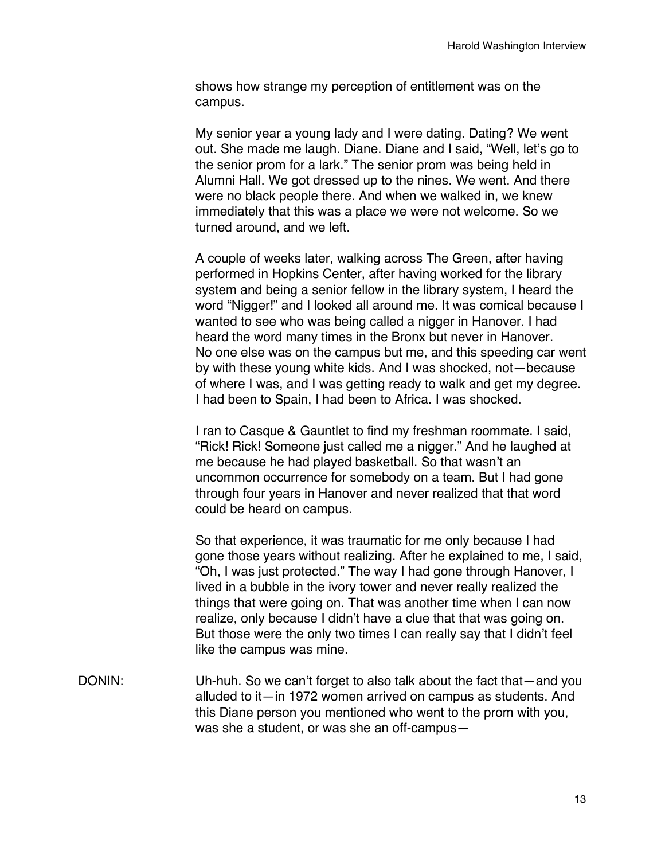shows how strange my perception of entitlement was on the campus.

My senior year a young lady and I were dating. Dating? We went out. She made me laugh. Diane. Diane and I said, "Well, let's go to the senior prom for a lark." The senior prom was being held in Alumni Hall. We got dressed up to the nines. We went. And there were no black people there. And when we walked in, we knew immediately that this was a place we were not welcome. So we turned around, and we left.

A couple of weeks later, walking across The Green, after having performed in Hopkins Center, after having worked for the library system and being a senior fellow in the library system, I heard the word "Nigger!" and I looked all around me. It was comical because I wanted to see who was being called a nigger in Hanover. I had heard the word many times in the Bronx but never in Hanover. No one else was on the campus but me, and this speeding car went by with these young white kids. And I was shocked, not—because of where I was, and I was getting ready to walk and get my degree. I had been to Spain, I had been to Africa. I was shocked.

I ran to Casque & Gauntlet to find my freshman roommate. I said, "Rick! Rick! Someone just called me a nigger." And he laughed at me because he had played basketball. So that wasn't an uncommon occurrence for somebody on a team. But I had gone through four years in Hanover and never realized that that word could be heard on campus.

So that experience, it was traumatic for me only because I had gone those years without realizing. After he explained to me, I said, "Oh, I was just protected." The way I had gone through Hanover, I lived in a bubble in the ivory tower and never really realized the things that were going on. That was another time when I can now realize, only because I didn't have a clue that that was going on. But those were the only two times I can really say that I didn't feel like the campus was mine.

DONIN: Uh-huh. So we can't forget to also talk about the fact that—and you alluded to it—in 1972 women arrived on campus as students. And this Diane person you mentioned who went to the prom with you, was she a student, or was she an off-campus—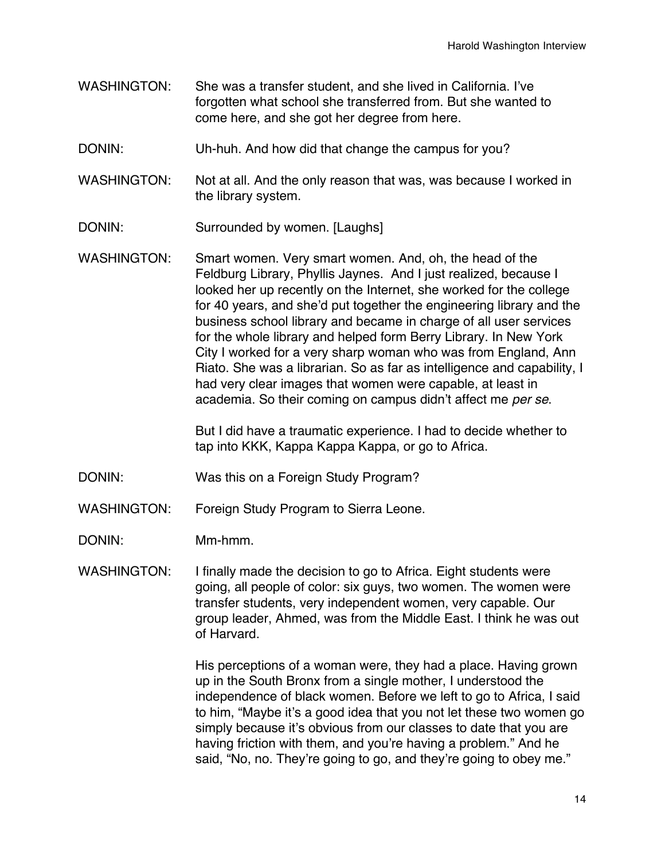- WASHINGTON: She was a transfer student, and she lived in California. I've forgotten what school she transferred from. But she wanted to come here, and she got her degree from here.
- DONIN: Uh-huh. And how did that change the campus for you?
- WASHINGTON: Not at all. And the only reason that was, was because I worked in the library system.
- DONIN: Surrounded by women. [Laughs]
- WASHINGTON: Smart women. Very smart women. And, oh, the head of the Feldburg Library, Phyllis Jaynes. And I just realized, because I looked her up recently on the Internet, she worked for the college for 40 years, and she'd put together the engineering library and the business school library and became in charge of all user services for the whole library and helped form Berry Library. In New York City I worked for a very sharp woman who was from England, Ann Riato. She was a librarian. So as far as intelligence and capability, I had very clear images that women were capable, at least in academia. So their coming on campus didn't affect me *per se*.

But I did have a traumatic experience. I had to decide whether to tap into KKK, Kappa Kappa Kappa, or go to Africa.

- DONIN: Was this on a Foreign Study Program?
- WASHINGTON: Foreign Study Program to Sierra Leone.
- DONIN: Mm-hmm.

WASHINGTON: I finally made the decision to go to Africa. Eight students were going, all people of color: six guys, two women. The women were transfer students, very independent women, very capable. Our group leader, Ahmed, was from the Middle East. I think he was out of Harvard.

> His perceptions of a woman were, they had a place. Having grown up in the South Bronx from a single mother, I understood the independence of black women. Before we left to go to Africa, I said to him, "Maybe it's a good idea that you not let these two women go simply because it's obvious from our classes to date that you are having friction with them, and you're having a problem." And he said, "No, no. They're going to go, and they're going to obey me."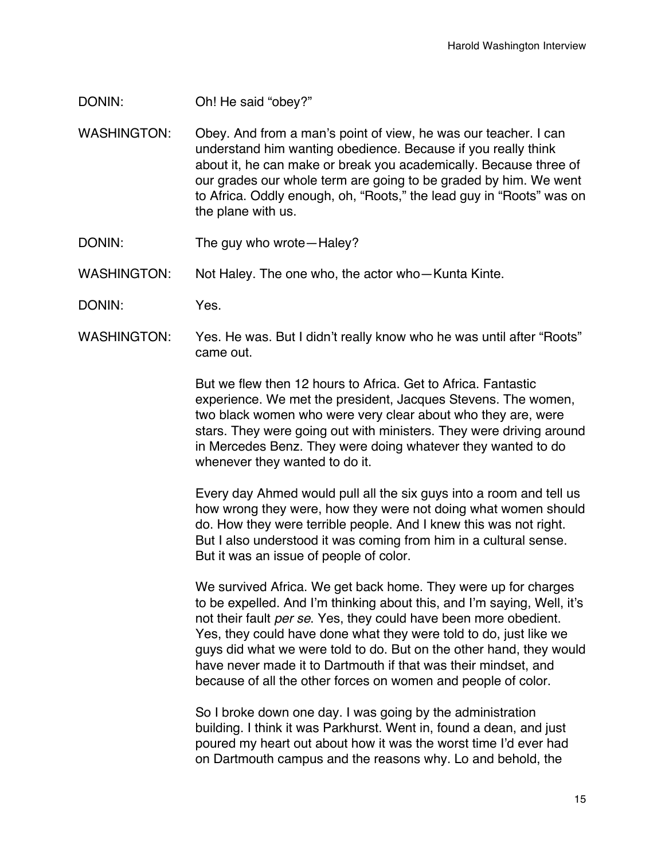- DONIN: Oh! He said "obey?"
- WASHINGTON: Obey. And from a man's point of view, he was our teacher. I can understand him wanting obedience. Because if you really think about it, he can make or break you academically. Because three of our grades our whole term are going to be graded by him. We went to Africa. Oddly enough, oh, "Roots," the lead guy in "Roots" was on the plane with us.
- DONIN: The guy who wrote Haley?
- WASHINGTON: Not Haley. The one who, the actor who-Kunta Kinte.
- DONIN: Yes.
- WASHINGTON: Yes. He was. But I didn't really know who he was until after "Roots" came out.

But we flew then 12 hours to Africa. Get to Africa. Fantastic experience. We met the president, Jacques Stevens. The women, two black women who were very clear about who they are, were stars. They were going out with ministers. They were driving around in Mercedes Benz. They were doing whatever they wanted to do whenever they wanted to do it.

Every day Ahmed would pull all the six guys into a room and tell us how wrong they were, how they were not doing what women should do. How they were terrible people. And I knew this was not right. But I also understood it was coming from him in a cultural sense. But it was an issue of people of color.

We survived Africa. We get back home. They were up for charges to be expelled. And I'm thinking about this, and I'm saying, Well, it's not their fault *per se*. Yes, they could have been more obedient. Yes, they could have done what they were told to do, just like we guys did what we were told to do. But on the other hand, they would have never made it to Dartmouth if that was their mindset, and because of all the other forces on women and people of color.

So I broke down one day. I was going by the administration building. I think it was Parkhurst. Went in, found a dean, and just poured my heart out about how it was the worst time I'd ever had on Dartmouth campus and the reasons why. Lo and behold, the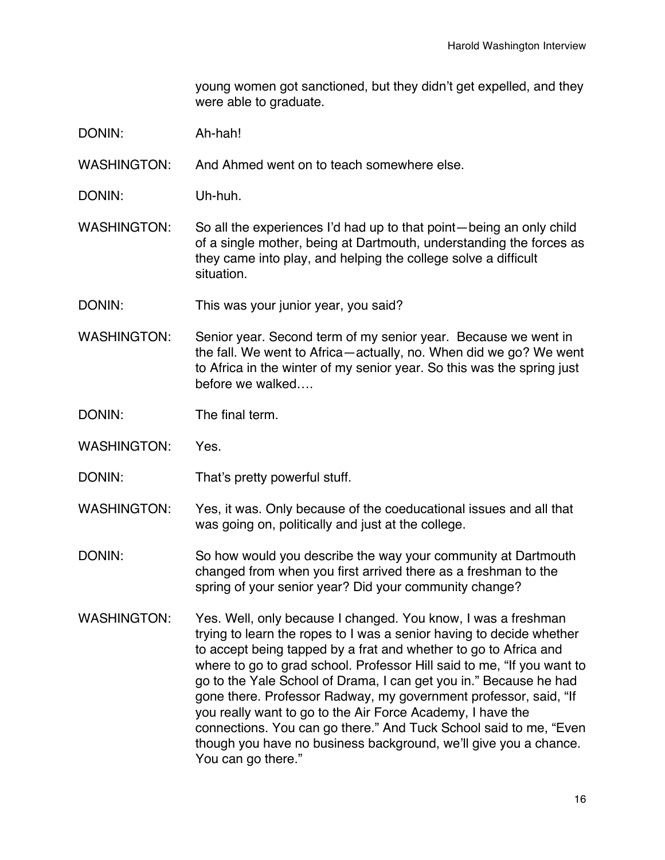young women got sanctioned, but they didn't get expelled, and they were able to graduate.

- DONIN: Ah-hah!
- WASHINGTON: And Ahmed went on to teach somewhere else.
- DONIN: Uh-huh.
- WASHINGTON: So all the experiences I'd had up to that point—being an only child of a single mother, being at Dartmouth, understanding the forces as they came into play, and helping the college solve a difficult situation.
- DONIN: This was your junior year, you said?
- WASHINGTON: Senior year. Second term of my senior year. Because we went in the fall. We went to Africa—actually, no. When did we go? We went to Africa in the winter of my senior year. So this was the spring just before we walked….
- DONIN: The final term.
- WASHINGTON: Yes.
- DONIN: That's pretty powerful stuff.
- WASHINGTON: Yes, it was. Only because of the coeducational issues and all that was going on, politically and just at the college.
- DONIN: So how would you describe the way your community at Dartmouth changed from when you first arrived there as a freshman to the spring of your senior year? Did your community change?
- WASHINGTON: Yes. Well, only because I changed. You know, I was a freshman trying to learn the ropes to I was a senior having to decide whether to accept being tapped by a frat and whether to go to Africa and where to go to grad school. Professor Hill said to me, "If you want to go to the Yale School of Drama, I can get you in." Because he had gone there. Professor Radway, my government professor, said, "If you really want to go to the Air Force Academy, I have the connections. You can go there." And Tuck School said to me, "Even though you have no business background, we'll give you a chance. You can go there."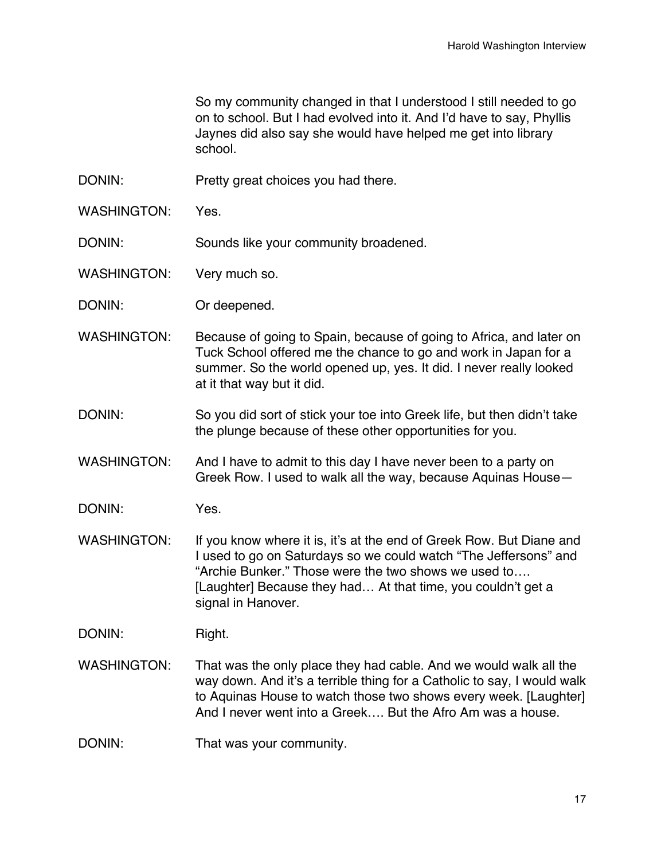So my community changed in that I understood I still needed to go on to school. But I had evolved into it. And I'd have to say, Phyllis Jaynes did also say she would have helped me get into library school.

- DONIN: Pretty great choices you had there.
- WASHINGTON: Yes.
- DONIN: Sounds like your community broadened.
- WASHINGTON: Very much so.
- DONIN: Or deepened.
- WASHINGTON: Because of going to Spain, because of going to Africa, and later on Tuck School offered me the chance to go and work in Japan for a summer. So the world opened up, yes. It did. I never really looked at it that way but it did.
- DONIN: So you did sort of stick your toe into Greek life, but then didn't take the plunge because of these other opportunities for you.
- WASHINGTON: And I have to admit to this day I have never been to a party on Greek Row. I used to walk all the way, because Aquinas House—
- DONIN: Yes.
- WASHINGTON: If you know where it is, it's at the end of Greek Row. But Diane and I used to go on Saturdays so we could watch "The Jeffersons" and "Archie Bunker." Those were the two shows we used to…. [Laughter] Because they had... At that time, you couldn't get a signal in Hanover.

DONIN: Right.

- WASHINGTON: That was the only place they had cable. And we would walk all the way down. And it's a terrible thing for a Catholic to say, I would walk to Aquinas House to watch those two shows every week. [Laughter] And I never went into a Greek…. But the Afro Am was a house.
- DONIN: That was your community.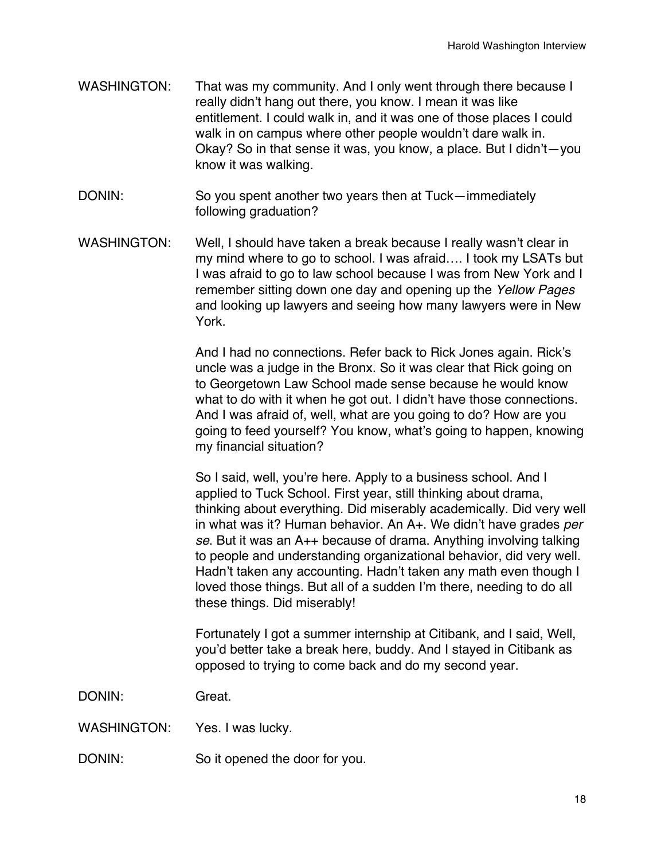- WASHINGTON: That was my community. And I only went through there because I really didn't hang out there, you know. I mean it was like entitlement. I could walk in, and it was one of those places I could walk in on campus where other people wouldn't dare walk in. Okay? So in that sense it was, you know, a place. But I didn't—you know it was walking.
- DONIN: So you spent another two years then at Tuck—immediately following graduation?
- WASHINGTON: Well, I should have taken a break because I really wasn't clear in my mind where to go to school. I was afraid…. I took my LSATs but I was afraid to go to law school because I was from New York and I remember sitting down one day and opening up the *Yellow Pages* and looking up lawyers and seeing how many lawyers were in New York.

And I had no connections. Refer back to Rick Jones again. Rick's uncle was a judge in the Bronx. So it was clear that Rick going on to Georgetown Law School made sense because he would know what to do with it when he got out. I didn't have those connections. And I was afraid of, well, what are you going to do? How are you going to feed yourself? You know, what's going to happen, knowing my financial situation?

So I said, well, you're here. Apply to a business school. And I applied to Tuck School. First year, still thinking about drama, thinking about everything. Did miserably academically. Did very well in what was it? Human behavior. An A+. We didn't have grades *per se*. But it was an A++ because of drama. Anything involving talking to people and understanding organizational behavior, did very well. Hadn't taken any accounting. Hadn't taken any math even though I loved those things. But all of a sudden I'm there, needing to do all these things. Did miserably!

Fortunately I got a summer internship at Citibank, and I said, Well, you'd better take a break here, buddy. And I stayed in Citibank as opposed to trying to come back and do my second year.

DONIN: Great.

WASHINGTON: Yes. I was lucky.

DONIN: So it opened the door for you.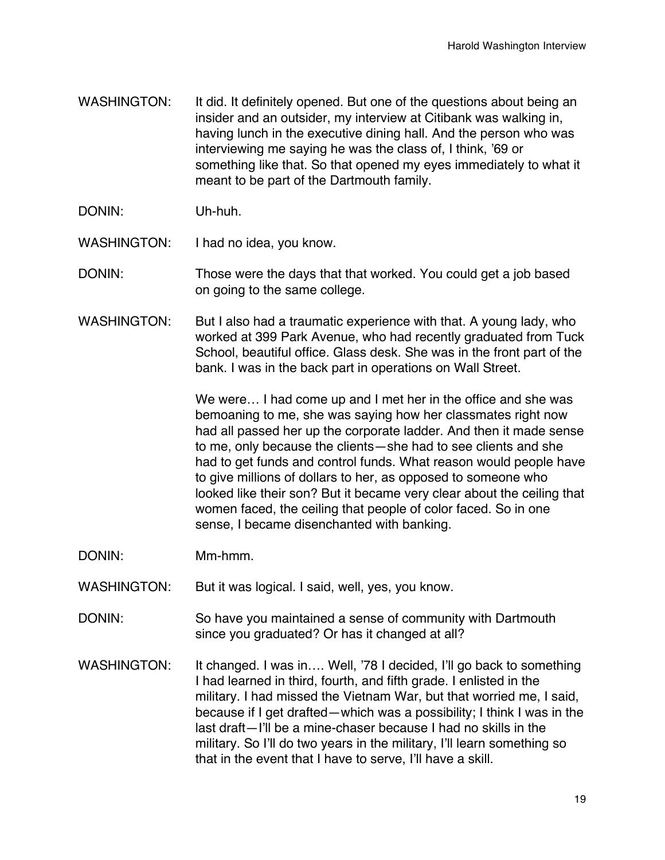- WASHINGTON: It did. It definitely opened. But one of the questions about being an insider and an outsider, my interview at Citibank was walking in, having lunch in the executive dining hall. And the person who was interviewing me saying he was the class of, I think, '69 or something like that. So that opened my eyes immediately to what it meant to be part of the Dartmouth family.
- DONIN: Uh-huh.
- WASHINGTON: I had no idea, you know.

DONIN: Those were the days that that worked. You could get a job based on going to the same college.

WASHINGTON: But I also had a traumatic experience with that. A young lady, who worked at 399 Park Avenue, who had recently graduated from Tuck School, beautiful office. Glass desk. She was in the front part of the bank. I was in the back part in operations on Wall Street.

> We were… I had come up and I met her in the office and she was bemoaning to me, she was saying how her classmates right now had all passed her up the corporate ladder. And then it made sense to me, only because the clients—she had to see clients and she had to get funds and control funds. What reason would people have to give millions of dollars to her, as opposed to someone who looked like their son? But it became very clear about the ceiling that women faced, the ceiling that people of color faced. So in one sense, I became disenchanted with banking.

- DONIN: Mm-hmm.
- WASHINGTON: But it was logical. I said, well, yes, you know.
- DONIN: So have you maintained a sense of community with Dartmouth since you graduated? Or has it changed at all?
- WASHINGTON: It changed. I was in.... Well, '78 I decided, I'll go back to something I had learned in third, fourth, and fifth grade. I enlisted in the military. I had missed the Vietnam War, but that worried me, I said, because if I get drafted—which was a possibility; I think I was in the last draft—I'll be a mine-chaser because I had no skills in the military. So I'll do two years in the military, I'll learn something so that in the event that I have to serve, I'll have a skill.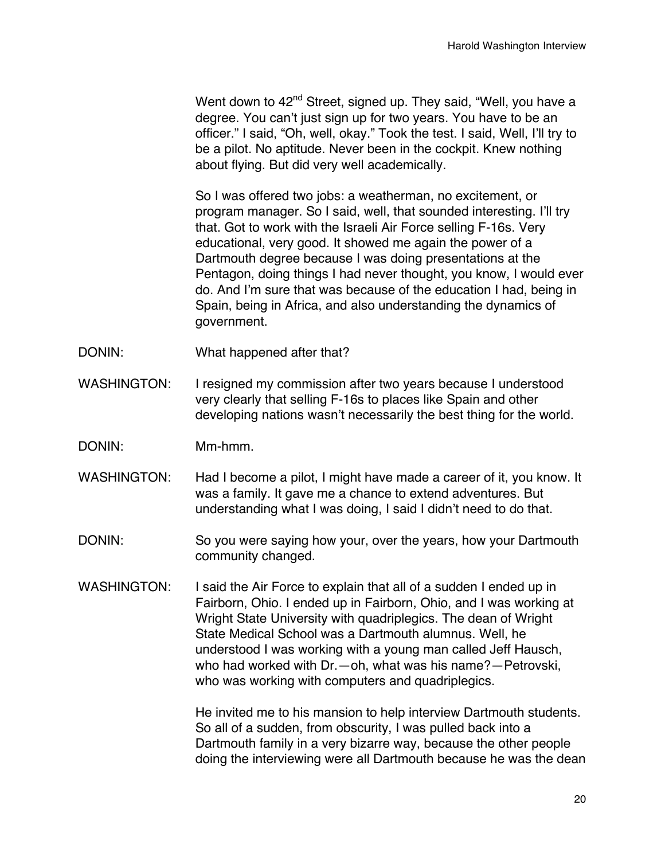Went down to  $42<sup>nd</sup>$  Street, signed up. They said, "Well, you have a degree. You can't just sign up for two years. You have to be an officer." I said, "Oh, well, okay." Took the test. I said, Well, I'll try to be a pilot. No aptitude. Never been in the cockpit. Knew nothing about flying. But did very well academically.

So I was offered two jobs: a weatherman, no excitement, or program manager. So I said, well, that sounded interesting. I'll try that. Got to work with the Israeli Air Force selling F-16s. Very educational, very good. It showed me again the power of a Dartmouth degree because I was doing presentations at the Pentagon, doing things I had never thought, you know, I would ever do. And I'm sure that was because of the education I had, being in Spain, being in Africa, and also understanding the dynamics of government.

- DONIN: What happened after that?
- WASHINGTON: I resigned my commission after two years because I understood very clearly that selling F-16s to places like Spain and other developing nations wasn't necessarily the best thing for the world.
- DONIN: Mm-hmm.
- WASHINGTON: Had I become a pilot, I might have made a career of it, you know. It was a family. It gave me a chance to extend adventures. But understanding what I was doing, I said I didn't need to do that.
- DONIN: So you were saying how your, over the years, how your Dartmouth community changed.
- WASHINGTON: I said the Air Force to explain that all of a sudden I ended up in Fairborn, Ohio. I ended up in Fairborn, Ohio, and I was working at Wright State University with quadriplegics. The dean of Wright State Medical School was a Dartmouth alumnus. Well, he understood I was working with a young man called Jeff Hausch, who had worked with Dr.—oh, what was his name?—Petrovski, who was working with computers and quadriplegics.

He invited me to his mansion to help interview Dartmouth students. So all of a sudden, from obscurity, I was pulled back into a Dartmouth family in a very bizarre way, because the other people doing the interviewing were all Dartmouth because he was the dean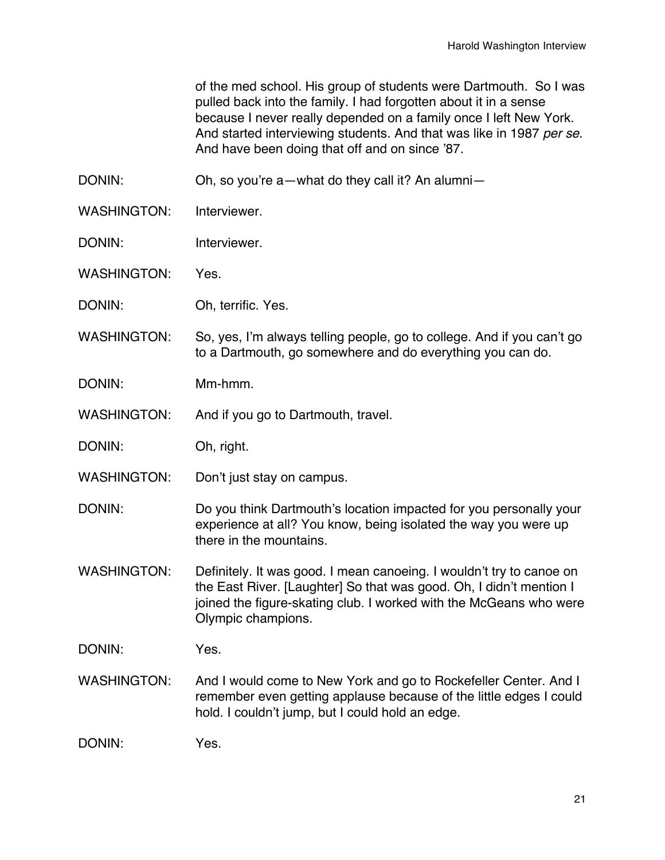of the med school. His group of students were Dartmouth. So I was pulled back into the family. I had forgotten about it in a sense because I never really depended on a family once I left New York. And started interviewing students. And that was like in 1987 *per se*. And have been doing that off and on since '87.

DONIN: Oh, so you're a—what do they call it? An alumni-

- WASHINGTON: Interviewer
- DONIN: Interviewer.
- WASHINGTON: Yes.
- DONIN: Oh, terrific. Yes.
- WASHINGTON: So, yes, I'm always telling people, go to college. And if you can't go to a Dartmouth, go somewhere and do everything you can do.
- DONIN: Mm-hmm.
- WASHINGTON: And if you go to Dartmouth, travel.
- DONIN: Oh, right.
- WASHINGTON: Don't just stay on campus.
- DONIN: Do you think Dartmouth's location impacted for you personally your experience at all? You know, being isolated the way you were up there in the mountains.
- WASHINGTON: Definitely. It was good. I mean canoeing. I wouldn't try to canoe on the East River. [Laughter] So that was good. Oh, I didn't mention I joined the figure-skating club. I worked with the McGeans who were Olympic champions.
- DONIN: Yes.
- WASHINGTON: And I would come to New York and go to Rockefeller Center. And I remember even getting applause because of the little edges I could hold. I couldn't jump, but I could hold an edge.
- DONIN: Yes.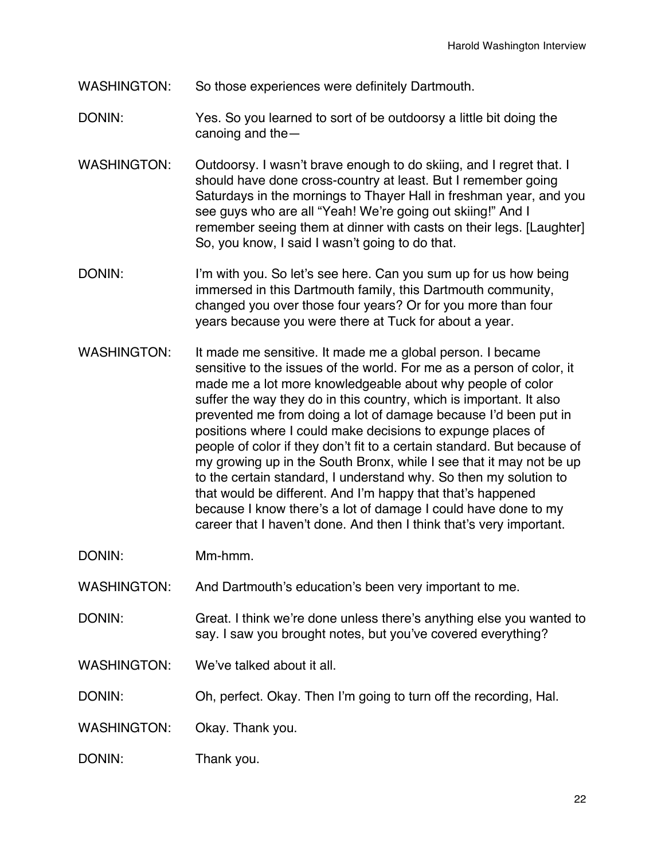- WASHINGTON: So those experiences were definitely Dartmouth.
- DONIN: Yes. So you learned to sort of be outdoorsy a little bit doing the canoing and the—
- WASHINGTON: Outdoorsy. I wasn't brave enough to do skiing, and I regret that. I should have done cross-country at least. But I remember going Saturdays in the mornings to Thayer Hall in freshman year, and you see guys who are all "Yeah! We're going out skiing!" And I remember seeing them at dinner with casts on their legs. [Laughter] So, you know, I said I wasn't going to do that.
- DONIN: I'm with you. So let's see here. Can you sum up for us how being immersed in this Dartmouth family, this Dartmouth community, changed you over those four years? Or for you more than four years because you were there at Tuck for about a year.
- WASHINGTON: It made me sensitive. It made me a global person. I became sensitive to the issues of the world. For me as a person of color, it made me a lot more knowledgeable about why people of color suffer the way they do in this country, which is important. It also prevented me from doing a lot of damage because I'd been put in positions where I could make decisions to expunge places of people of color if they don't fit to a certain standard. But because of my growing up in the South Bronx, while I see that it may not be up to the certain standard, I understand why. So then my solution to that would be different. And I'm happy that that's happened because I know there's a lot of damage I could have done to my career that I haven't done. And then I think that's very important.

DONIN: Mm-hmm.

WASHINGTON: And Dartmouth's education's been very important to me.

DONIN: Great. I think we're done unless there's anything else you wanted to say. I saw you brought notes, but you've covered everything?

WASHINGTON: We've talked about it all.

DONIN: Oh, perfect. Okay. Then I'm going to turn off the recording, Hal.

WASHINGTON: Okay. Thank you.

DONIN: Thank you.